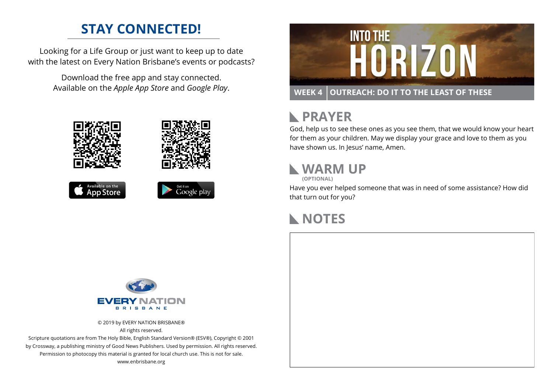### **STAY CONNECTED!**

Looking for a Life Group or just want to keep up to date with the latest on Every Nation Brisbane's events or podcasts?

> Download the free app and stay connected. Available on the *Apple App Store* and *Google Play*.











# **RAYER**

God, help us to see these ones as you see them, that we would know your heart for them as your children. May we display your grace and love to them as you have shown us. In Jesus' name, Amen.

# **WARM UP**

**(OPTIONAL)**

Have you ever helped someone that was in need of some assistance? How did that turn out for you?

#### **NOTES**



© 2019 by EVERY NATION BRISBANE® All rights reserved.

Scripture quotations are from The Holy Bible, English Standard Version® (ESV®), Copyright © 2001 by Crossway, a publishing ministry of Good News Publishers. Used by permission. All rights reserved. Permission to photocopy this material is granted for local church use. This is not for sale. www.enbrisbane.org